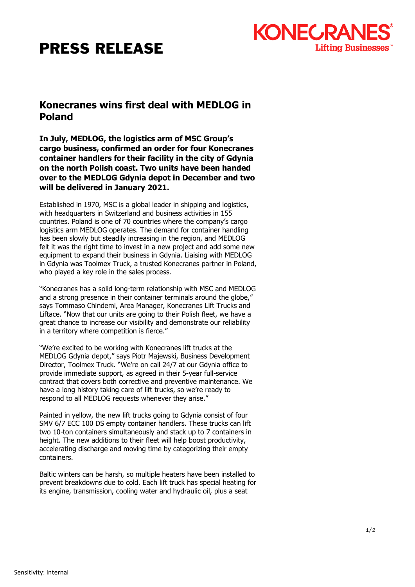## PRESS RELEASE



## **Konecranes wins first deal with MEDLOG in Poland**

**In July, MEDLOG, the logistics arm of MSC Group's cargo business, confirmed an order for four Konecranes container handlers for their facility in the city of Gdynia on the north Polish coast. Two units have been handed over to the MEDLOG Gdynia depot in December and two will be delivered in January 2021.** 

Established in 1970, MSC is a global leader in shipping and logistics, with headquarters in Switzerland and business activities in 155 countries. Poland is one of 70 countries where the company's cargo logistics arm MEDLOG operates. The demand for container handling has been slowly but steadily increasing in the region, and MEDLOG felt it was the right time to invest in a new project and add some new equipment to expand their business in Gdynia. Liaising with MEDLOG in Gdynia was Toolmex Truck, a trusted Konecranes partner in Poland, who played a key role in the sales process.

"Konecranes has a solid long-term relationship with MSC and MEDLOG and a strong presence in their container terminals around the globe," says Tommaso Chindemi, Area Manager, Konecranes Lift Trucks and Liftace. "Now that our units are going to their Polish fleet, we have a great chance to increase our visibility and demonstrate our reliability in a territory where competition is fierce."

"We're excited to be working with Konecranes lift trucks at the MEDLOG Gdynia depot," says Piotr Majewski, Business Development Director, Toolmex Truck. "We're on call 24/7 at our Gdynia office to provide immediate support, as agreed in their 5-year full-service contract that covers both corrective and preventive maintenance. We have a long history taking care of lift trucks, so we're ready to respond to all MEDLOG requests whenever they arise."

Painted in yellow, the new lift trucks going to Gdynia consist of four SMV 6/7 ECC 100 DS empty container handlers. These trucks can lift two 10-ton containers simultaneously and stack up to 7 containers in height. The new additions to their fleet will help boost productivity, accelerating discharge and moving time by categorizing their empty containers.

Baltic winters can be harsh, so multiple heaters have been installed to prevent breakdowns due to cold. Each lift truck has special heating for its engine, transmission, cooling water and hydraulic oil, plus a seat

1/2